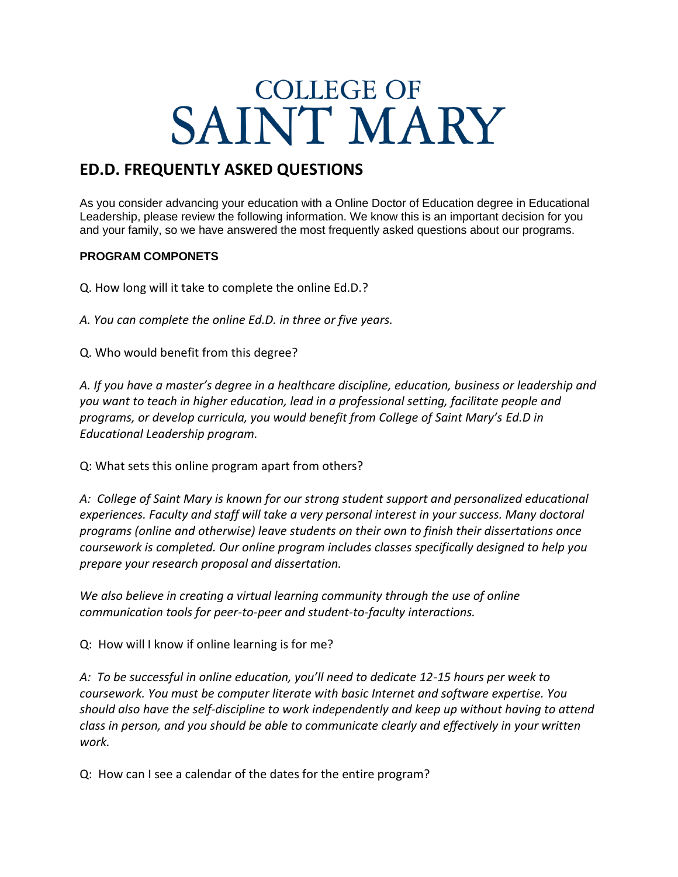# **COLLEGE OF** SAINT MARY

## **ED.D. FREQUENTLY ASKED QUESTIONS**

As you consider advancing your education with a Online Doctor of Education degree in Educational Leadership, please review the following information. We know this is an important decision for you and your family, so we have answered the most frequently asked questions about our programs.

#### **PROGRAM COMPONETS**

Q. How long will it take to complete the online Ed.D.?

*A. You can complete the online Ed.D. in three or five years.*

Q. Who would benefit from this degree?

*A. If you have a master's degree in a healthcare discipline, education, business or leadership and you want to teach in higher education, lead in a professional setting, facilitate people and programs, or develop curricula, you would benefit from College of Saint Mary's Ed.D in Educational Leadership program.*

Q: What sets this online program apart from others?

*A: College of Saint Mary is known for our strong student support and personalized educational experiences. Faculty and staff will take a very personal interest in your success. Many doctoral programs (online and otherwise) leave students on their own to finish their dissertations once coursework is completed. Our online program includes classes specifically designed to help you prepare your research proposal and dissertation.*

*We also believe in creating a virtual learning community through the use of online communication tools for peer-to-peer and student-to-faculty interactions.*

Q: How will I know if online learning is for me?

*A: To be successful in online education, you'll need to dedicate 12-15 hours per week to coursework. You must be computer literate with basic Internet and software expertise. You should also have the self-discipline to work independently and keep up without having to attend class in person, and you should be able to communicate clearly and effectively in your written work.*

Q: How can I see a calendar of the dates for the entire program?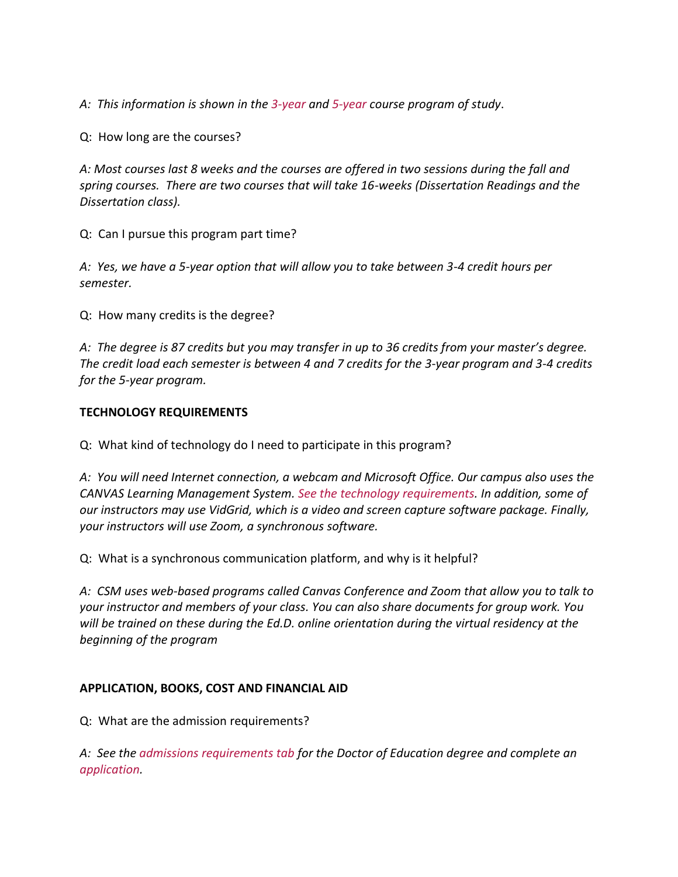*A: This information is shown in the [3-year](https://www.csm.edu/academics/education/doctor-education-educational-leadership-3-year-program) and [5-year](https://www.csm.edu/academics/education/doctor-education-educational-leadership-5-year-program) course program of study*.

Q: How long are the courses?

*A: Most courses last 8 weeks and the courses are offered in two sessions during the fall and spring courses. There are two courses that will take 16-weeks (Dissertation Readings and the Dissertation class).*

Q: Can I pursue this program part time?

*A: Yes, we have a 5-year option that will allow you to take between 3-4 credit hours per semester.*

Q: How many credits is the degree?

*A: The degree is 87 credits but you may transfer in up to 36 credits from your master's degree. The credit load each semester is between 4 and 7 credits for the 3-year program and 3-4 credits for the 5-year program.*

#### **TECHNOLOGY REQUIREMENTS**

Q: What kind of technology do I need to participate in this program?

*A: You will need Internet connection, a webcam and Microsoft Office. Our campus also uses the CANVAS Learning Management System. [See the technology requirements.](https://www.csm.edu/sites/default/files/IT_Information.pdf) In addition, some of our instructors may use VidGrid, which is a video and screen capture software package. Finally, your instructors will use Zoom, a synchronous software.* 

Q: What is a synchronous communication platform, and why is it helpful?

*A: CSM uses web-based programs called Canvas Conference and Zoom that allow you to talk to your instructor and members of your class. You can also share documents for group work. You will be trained on these during the Ed.D. online orientation during the virtual residency at the beginning of the program*

### **APPLICATION, BOOKS, COST AND FINANCIAL AID**

Q: What are the admission requirements?

*A: See the [admissions requirements tab](https://www.csm.edu/academics/education/doctor-education-educational-leadership-3-year-program) for the Doctor of Education degree and complete an [application.](https://selfservice.csm.edu/selfservice/Admissions/Application.aspx?applicationformid=11)*